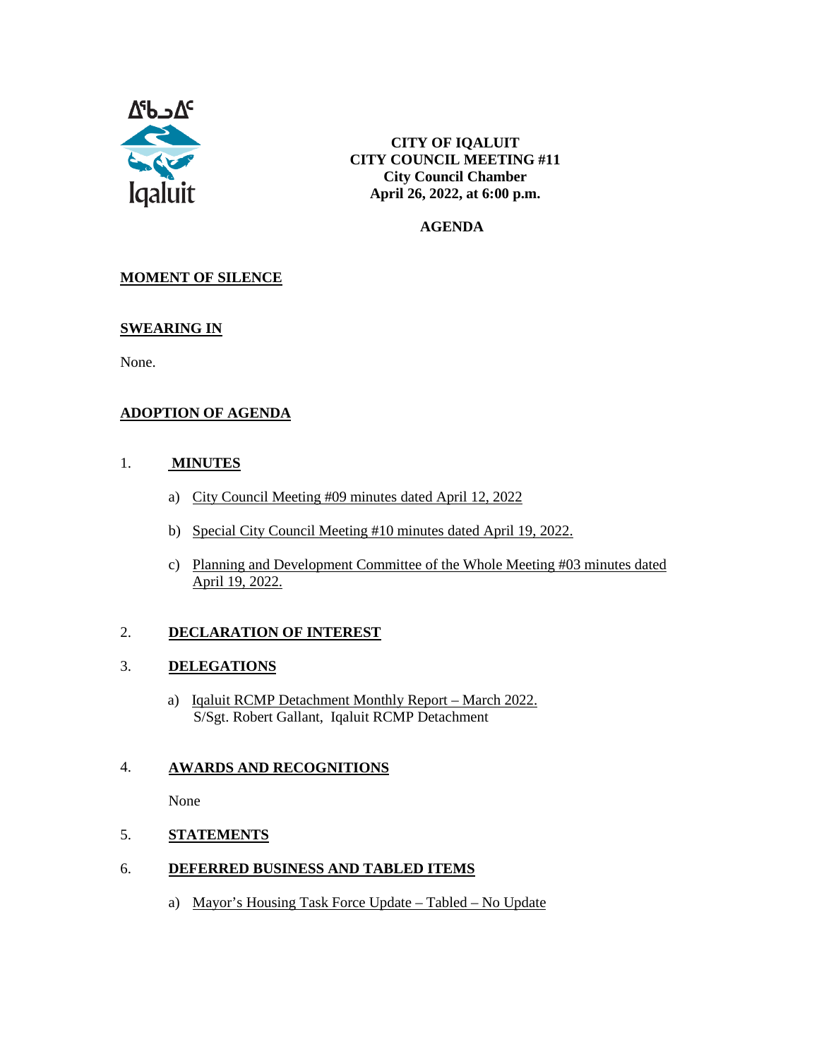

**CITY OF IQALUIT CITY COUNCIL MEETING #11 City Council Chamber April 26, 2022, at 6:00 p.m.**

 **AGENDA**

#### **MOMENT OF SILENCE**

#### **SWEARING IN**

None.

#### **ADOPTION OF AGENDA**

#### 1. **MINUTES**

- a) City Council Meeting #09 minutes dated April 12, 2022
- b) Special City Council Meeting #10 minutes dated April 19, 2022.
- c) Planning and Development Committee of the Whole Meeting #03 minutes dated April 19, 2022.

#### 2. **DECLARATION OF INTEREST**

#### 3. **DELEGATIONS**

a) Iqaluit RCMP Detachment Monthly Report – March 2022. S/Sgt. Robert Gallant, Iqaluit RCMP Detachment

#### 4. **AWARDS AND RECOGNITIONS**

None

#### 5. **STATEMENTS**

#### 6. **DEFERRED BUSINESS AND TABLED ITEMS**

a) Mayor's Housing Task Force Update – Tabled – No Update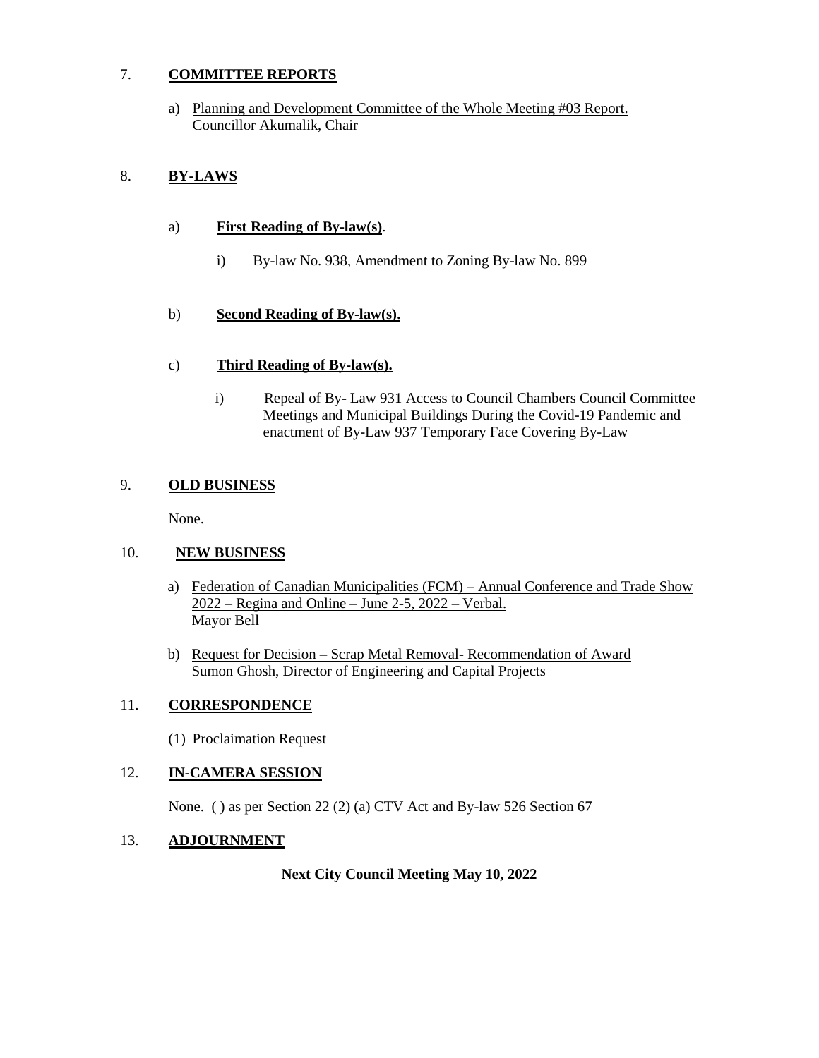#### 7. **COMMITTEE REPORTS**

a) Planning and Development Committee of the Whole Meeting #03 Report. Councillor Akumalik, Chair

#### 8. **BY-LAWS**

#### a) **First Reading of By-law(s)**.

i) By-law No. 938, Amendment to Zoning By-law No. 899

#### b) **Second Reading of By-law(s).**

#### c) **Third Reading of By-law(s).**

i) Repeal of By- Law 931 Access to Council Chambers Council Committee Meetings and Municipal Buildings During the Covid-19 Pandemic and enactment of By-Law 937 Temporary Face Covering By-Law

#### 9. **OLD BUSINESS**

None.

#### 10. **NEW BUSINESS**

- a) Federation of Canadian Municipalities (FCM) Annual Conference and Trade Show 2022 – Regina and Online – June 2-5, 2022 – Verbal. Mayor Bell
- b) Request for Decision Scrap Metal Removal- Recommendation of Award Sumon Ghosh, Director of Engineering and Capital Projects

#### 11. **CORRESPONDENCE**

(1) Proclaimation Request

#### 12. **IN-CAMERA SESSION**

None. ( ) as per Section 22 (2) (a) CTV Act and By-law 526 Section 67

#### 13. **ADJOURNMENT**

#### **Next City Council Meeting May 10, 2022**